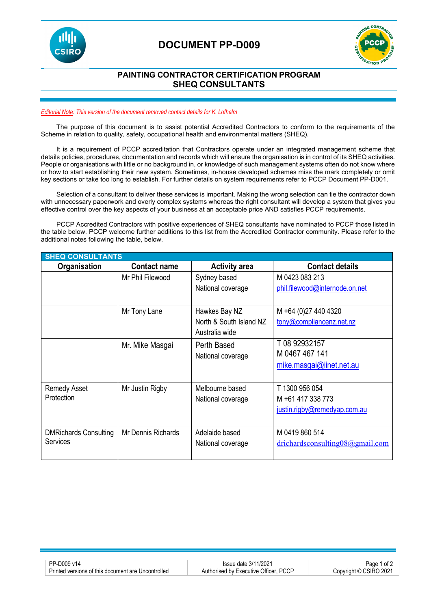

### **DOCUMENT PP-D009**



#### **PAINTING CONTRACTOR CERTIFICATION PROGRAM SHEQ CONSULTANTS**

#### *Editorial Note: This version of the document removed contact details for K. Lofhelm*

The purpose of this document is to assist potential Accredited Contractors to conform to the requirements of the Scheme in relation to quality, safety, occupational health and environmental matters (SHEQ).

It is a requirement of PCCP accreditation that Contractors operate under an integrated management scheme that details policies, procedures, documentation and records which will ensure the organisation is in control of its SHEQ activities. People or organisations with little or no background in, or knowledge of such management systems often do not know where or how to start establishing their new system. Sometimes, in-house developed schemes miss the mark completely or omit key sections or take too long to establish. For further details on system requirements refer to PCCP Document PP-D001.

Selection of a consultant to deliver these services is important. Making the wrong selection can tie the contractor down with unnecessary paperwork and overly complex systems whereas the right consultant will develop a system that gives you effective control over the key aspects of your business at an acceptable price AND satisfies PCCP requirements.

PCCP Accredited Contractors with positive experiences of SHEQ consultants have nominated to PCCP those listed in the table below. PCCP welcome further additions to this list from the Accredited Contractor community. Please refer to the additional notes following the table, below.

| <b>SHEQ CONSULTANTS</b>      |                     |                         |                                     |  |  |
|------------------------------|---------------------|-------------------------|-------------------------------------|--|--|
| Organisation                 | <b>Contact name</b> | <b>Activity area</b>    | <b>Contact details</b>              |  |  |
|                              | Mr Phil Filewood    | Sydney based            | M 0423 083 213                      |  |  |
|                              |                     | National coverage       | phil.filewood@internode.on.net      |  |  |
|                              |                     |                         |                                     |  |  |
|                              | Mr Tony Lane        | Hawkes Bay NZ           | M +64 (0)27 440 4320                |  |  |
|                              |                     | North & South Island NZ | tony@compliancenz.net.nz            |  |  |
|                              |                     | Australia wide          |                                     |  |  |
|                              | Mr. Mike Masgai     | Perth Based             | T 08 92932157                       |  |  |
|                              |                     | National coverage       | M 0467 467 141                      |  |  |
|                              |                     |                         | mike.masgai@jinet.net.au            |  |  |
|                              |                     |                         |                                     |  |  |
| <b>Remedy Asset</b>          | Mr Justin Rigby     | Melbourne based         | T 1300 956 054                      |  |  |
| Protection                   |                     | National coverage       | M +61 417 338 773                   |  |  |
|                              |                     |                         | justin.rigby@remedyap.com.au        |  |  |
|                              |                     |                         |                                     |  |  |
| <b>DMRichards Consulting</b> | Mr Dennis Richards  | Adelaide based          | M 0419 860 514                      |  |  |
| Services                     |                     | National coverage       | drichardsconsulting $08@g$ mail.com |  |  |
|                              |                     |                         |                                     |  |  |